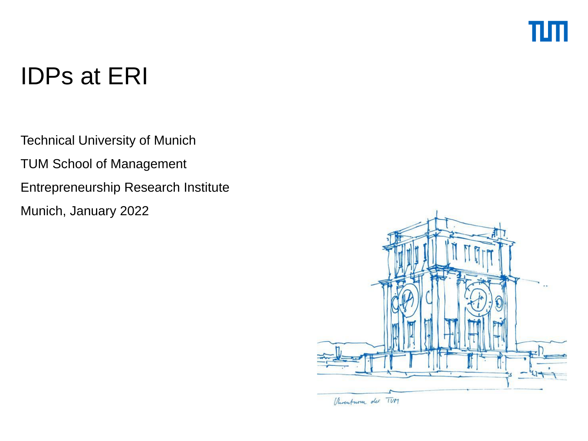## ππ

## IDPs at ERI

Technical University of Munich TUM School of Management Entrepreneurship Research Institute Munich, January 2022

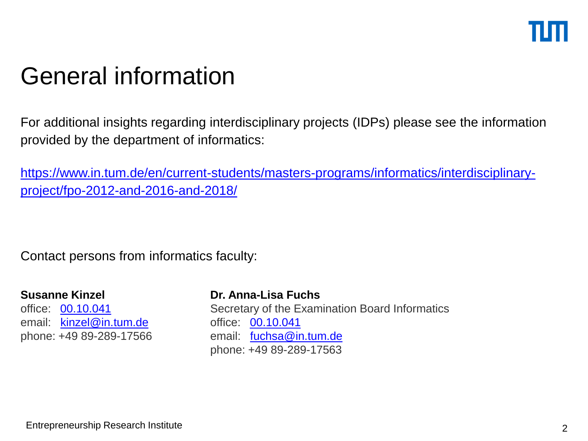## General information

For additional insights regarding interdisciplinary projects (IDPs) please see the information provided by the department of informatics:

[https://www.in.tum.de/en/current-students/masters-programs/informatics/interdisciplinary](https://www.in.tum.de/en/current-students/masters-programs/informatics/interdisciplinary-project/fpo-2012-and-2016-and-2018/)project/fpo-2012-and-2016-and-2018/

Contact persons from informatics faculty:

#### **Susanne Kinzel**

office: [00.10.041](http://portal.mytum.de/campus/roomfinder/search_room_results?searchstring=00.10.041&building=Alle) email: [kinzel@in.tum.de](mailto:kinzel@in.tum.de) phone: +49 89-289-17566

#### **Dr. Anna-Lisa Fuchs**

Secretary of the Examination Board Informatics office: [00.10.041](http://portal.mytum.de/campus/roomfinder/search_room_results?searchstring=00.10.041&building=Alle) email: [fuchsa@in.tum.de](mailto:fuchsa@in.tum.de) phone: +49 89-289-17563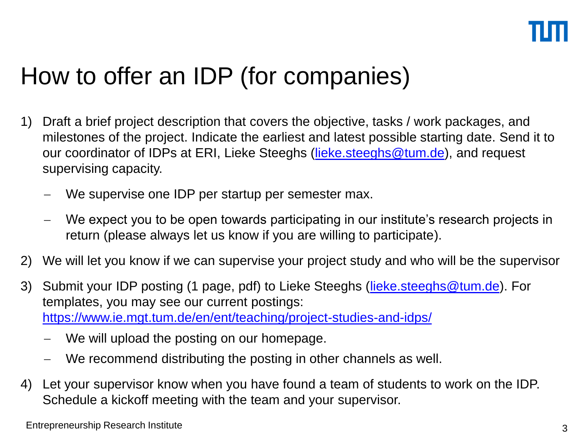## How to offer an IDP (for companies)

- 1) Draft a brief project description that covers the objective, tasks / work packages, and milestones of the project. Indicate the earliest and latest possible starting date. Send it to our coordinator of IDPs at ERI, Lieke Steeghs ([lieke.steeghs@tum.de](mailto:lieke.steeghs@tum.de)), and request supervising capacity.
	- We supervise one IDP per startup per semester max.
	- We expect you to be open towards participating in our institute's research projects in return (please always let us know if you are willing to participate).
- 2) We will let you know if we can supervise your project study and who will be the supervisor
- 3) Submit your IDP posting (1 page, pdf) to Lieke Steeghs ([lieke.steeghs@tum.de\)](mailto:lieke.steeghs@tum.de). For templates, you may see our current postings: <https://www.ie.mgt.tum.de/en/ent/teaching/project-studies-and-idps/>
	- We will upload the posting on our homepage.
	- We recommend distributing the posting in other channels as well.
- 4) Let your supervisor know when you have found a team of students to work on the IDP. Schedule a kickoff meeting with the team and your supervisor.

Entrepreneurship Research Institute 3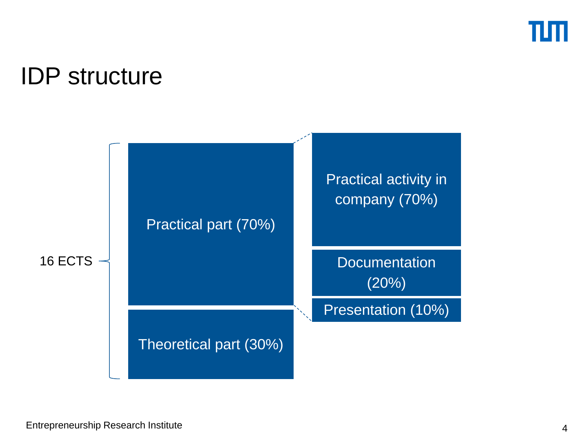

### IDP structure

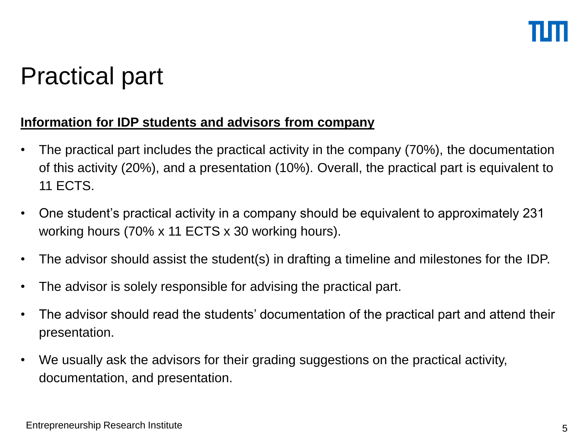### Practical part

### **Information for IDP students and advisors from company**

- The practical part includes the practical activity in the company (70%), the documentation of this activity (20%), and a presentation (10%). Overall, the practical part is equivalent to 11 ECTS.
- One student's practical activity in a company should be equivalent to approximately 231 working hours (70% x 11 ECTS x 30 working hours).
- The advisor should assist the student(s) in drafting a timeline and milestones for the IDP.
- The advisor is solely responsible for advising the practical part.
- The advisor should read the students' documentation of the practical part and attend their presentation.
- We usually ask the advisors for their grading suggestions on the practical activity, documentation, and presentation.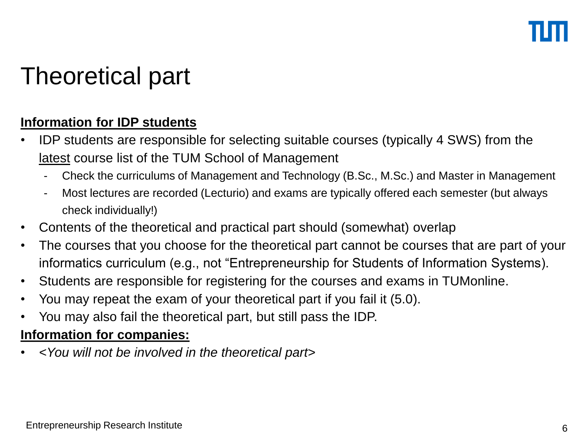## Theoretical part

### **Information for IDP students**

- IDP students are responsible for selecting suitable courses (typically 4 SWS) from the latest course list of the TUM School of Management
	- Check the curriculums of Management and Technology (B.Sc., M.Sc.) and Master in Management
	- Most lectures are recorded (Lecturio) and exams are typically offered each semester (but always check individually!)
- Contents of the theoretical and practical part should (somewhat) overlap
- The courses that you choose for the theoretical part cannot be courses that are part of your informatics curriculum (e.g., not "Entrepreneurship for Students of Information Systems).
- Students are responsible for registering for the courses and exams in TUMonline.
- You may repeat the exam of your theoretical part if you fail it (5.0).
- You may also fail the theoretical part, but still pass the IDP.

#### **Information for companies:**

• *<You will not be involved in the theoretical part>*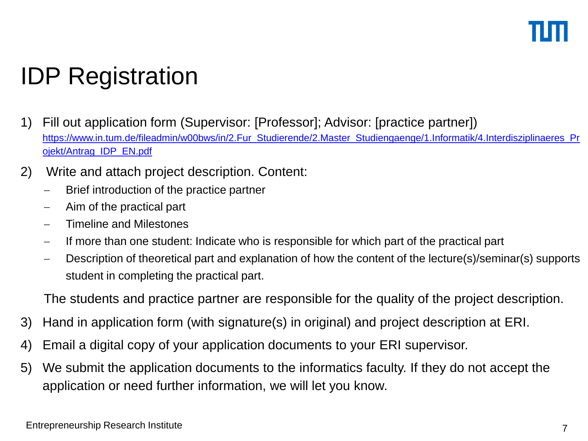# IDP Registration

- 1) Fill out application form (Supervisor: [Professor]; Advisor: [practice partner]) [https://www.in.tum.de/fileadmin/w00bws/in/2.Fur\\_Studierende/2.Master\\_Studiengaenge/1.Informatik/4.Interdisziplinaeres\\_Pr](https://www.in.tum.de/fileadmin/w00bws/in/2.Fur_Studierende/2.Master_Studiengaenge/1.Informatik/4.Interdisziplinaeres_Projekt/Antrag_IDP_EN.pdf) ojekt/Antrag\_IDP\_EN.pdf
- 2) Write and attach project description. Content:
	- Brief introduction of the practice partner
	- $-$  Aim of the practical part
	- Timeline and Milestones
	- $-I$  If more than one student: Indicate who is responsible for which part of the practical part
	- Description of theoretical part and explanation of how the content of the lecture(s)/seminar(s) supports student in completing the practical part.

The students and practice partner are responsible for the quality of the project description.

- 3) Hand in application form (with signature(s) in original) and project description at ERI.
- 4) Email a digital copy of your application documents to your ERI supervisor.
- 5) We submit the application documents to the informatics faculty. If they do not accept the application or need further information, we will let you know.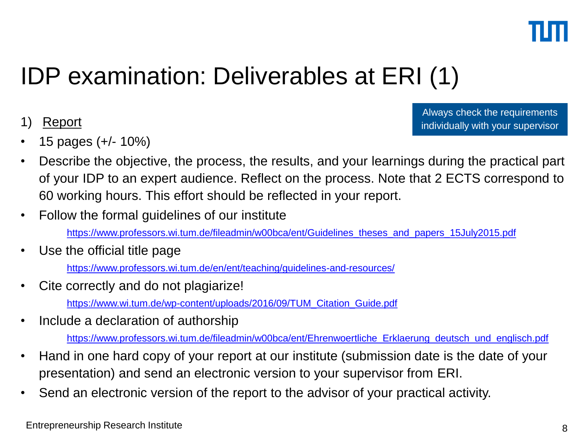

### IDP examination: Deliverables at ERI (1)

### 1) Report

• 15 pages (+/- 10%)

Always check the requirements individually with your supervisor

- Describe the objective, the process, the results, and your learnings during the practical part of your IDP to an expert audience. Reflect on the process. Note that 2 ECTS correspond to 60 working hours. This effort should be reflected in your report.
- Follow the formal guidelines of our institute

[https://www.professors.wi.tum.de/fileadmin/w00bca/ent/Guidelines\\_theses\\_and\\_papers\\_15July2015.pdf](https://www.professors.wi.tum.de/fileadmin/w00bca/ent/Guidelines_theses_and_papers_15July2015.pdf)

Use the official title page

<https://www.professors.wi.tum.de/en/ent/teaching/guidelines-and-resources/>

- Cite correctly and do not plagiarize! [https://www.wi.tum.de/wp-content/uploads/2016/09/TUM\\_Citation\\_Guide.pdf](https://www.wi.tum.de/wp-content/uploads/2016/09/TUM_Citation_Guide.pdf)
- Include a declaration of authorship

[https://www.professors.wi.tum.de/fileadmin/w00bca/ent/Ehrenwoertliche\\_Erklaerung\\_deutsch\\_und\\_englisch.pdf](https://www.professors.wi.tum.de/fileadmin/w00bca/ent/Ehrenwoertliche_Erklaerung_deutsch_und_englisch.pdf)

- Hand in one hard copy of your report at our institute (submission date is the date of your presentation) and send an electronic version to your supervisor from ERI.
- Send an electronic version of the report to the advisor of your practical activity.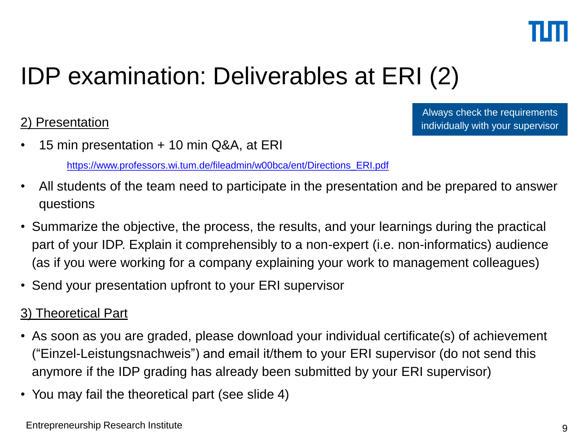

## IDP examination: Deliverables at ERI (2)

### 2) Presentation

Always check the requirements individually with your supervisor

• 15 min presentation + 10 min Q&A, at ERI

[https://www.professors.wi.tum.de/fileadmin/w00bca/ent/Directions\\_ERI.pdf](https://www.professors.wi.tum.de/fileadmin/w00bca/ent/Directions_ERI.pdf) 

- All students of the team need to participate in the presentation and be prepared to answer questions
- Summarize the objective, the process, the results, and your learnings during the practical part of your IDP. Explain it comprehensibly to a non-expert (i.e. non-informatics) audience (as if you were working for a company explaining your work to management colleagues)
- Send your presentation upfront to your ERI supervisor

#### 3) Theoretical Part

- As soon as you are graded, please download your individual certificate(s) of achievement ("Einzel-Leistungsnachweis") and email it/them to your ERI supervisor (do not send this anymore if the IDP grading has already been submitted by your ERI supervisor)
- You may fail the theoretical part (see slide 4)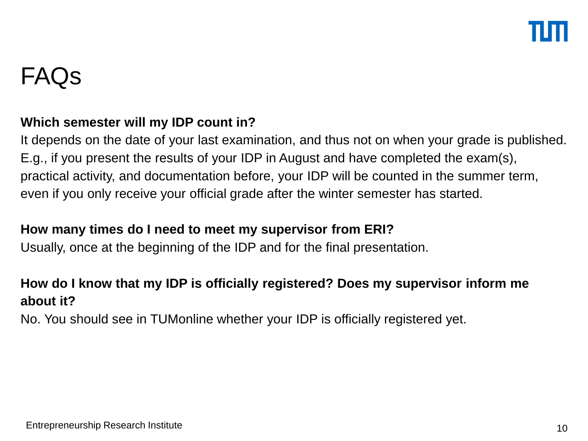### FAQs

#### **Which semester will my IDP count in?**

It depends on the date of your last examination, and thus not on when your grade is published. E.g., if you present the results of your IDP in August and have completed the exam(s), practical activity, and documentation before, your IDP will be counted in the summer term, even if you only receive your official grade after the winter semester has started.

#### **How many times do I need to meet my supervisor from ERI?**

Usually, once at the beginning of the IDP and for the final presentation.

### **How do I know that my IDP is officially registered? Does my supervisor inform me about it?**

No. You should see in TUMonline whether your IDP is officially registered yet.